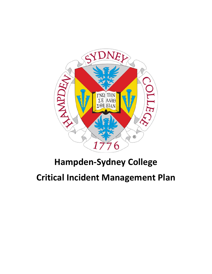

# **Hampden-Sydney College**

# **Critical Incident Management Plan**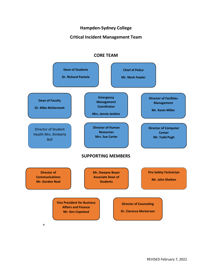### **Hampden-Sydney College**

### **Critical Incident Management Team**



### **CORE TEAM**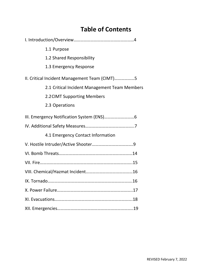# **Table of Contents**

|                                               | 1.1 Purpose                                   |  |
|-----------------------------------------------|-----------------------------------------------|--|
|                                               | 1.2 Shared Responsibility                     |  |
|                                               | 1.3 Emergency Response                        |  |
| II. Critical Incident Management Team (CIMT)5 |                                               |  |
|                                               | 2.1 Critical Incident Management Team Members |  |
|                                               | 2.2 CIMT Supporting Members                   |  |
|                                               | 2.3 Operations                                |  |
|                                               |                                               |  |
|                                               |                                               |  |
|                                               | 4.1 Emergency Contact Information             |  |
|                                               |                                               |  |
|                                               |                                               |  |
|                                               |                                               |  |
|                                               |                                               |  |
|                                               |                                               |  |
|                                               |                                               |  |
|                                               |                                               |  |
|                                               |                                               |  |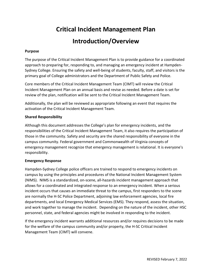# **Critical Incident Management Plan**

# **Introduction/Overview**

#### **Purpose**

The purpose of the Critical Incident Management Plan is to provide guidance for a coordinated approach to preparing for, responding to, and managing an emergency incident at Hampden-Sydney College. Ensuring the safety and well-being of students, faculty, staff, and visitors is the primary goal of College administrators and the Department of Public Safety and Police.

Core members of the Critical Incident Management Team (CIMT) will review the Critical Incident Management Plan on an annual basis and revise as needed. Before a date is set for review of the plan, notification will be sent to the Critical Incident Management Team.

Additionally, the plan will be reviewed as appropriate following an event that requires the activation of the Critical Incident Management Team.

#### **Shared Responsibility**

Although this document addresses the College's plan for emergency incidents, and the responsibilities of the Critical Incident Management Team, it also requires the participation of those in the community. Safety and security are the shared responsibility of everyone in the campus community. Federal government and Commonwealth of Virginia concepts of emergency management recognize that emergency management is relational. It is everyone's responsibility.

#### **Emergency Response**

Hampden‐Sydney College police officers are trained to respond to emergency incidents on campus by using the principles and procedures of the National Incident Management System (NIMS). NIMS is a standardized, on‐scene, all‐hazards incident management approach that allows for a coordinated and integrated response to an emergency incident. When a serious incident occurs that causes an immediate threat to the campus, first responders to the scene are normally the H‐SC Police Department, adjoining law enforcement agencies, local fire departments, and local Emergency Medical Services (EMS). They respond, assess the situation, and work together to manage the incident. Depending on the nature of the incident, other HSC personnel, state, and federal agencies might be involved in responding to the incident.

If the emergency incident warrants additional resources and/or requires decisions to be made for the welfare of the campus community and/or property, the H‐SC Critical Incident Management Team (CIMT) will convene.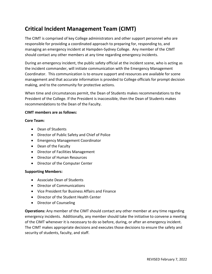# **Critical Incident Management Team (CIMT)**

The CIMT is comprised of key College administrators and other support personnel who are responsible for providing a coordinated approach to preparing for, responding to, and managing an emergency incident at Hampden‐Sydney College. Any member of the CIMT should contact any other members at any time regarding emergency incidents.

During an emergency incident, the public safety official at the incident scene, who is acting as the incident commander, will initiate communication with the Emergency Management Coordinator. This communication is to ensure support and resources are available for scene management and that accurate information is provided to College officials for prompt decision making, and to the community for protective actions.

When time and circumstances permit, the Dean of Students makes recommendations to the President of the College. If the President is inaccessible, then the Dean of Students makes recommendations to the Dean of the Faculty.

#### **CIMT members are as follows:**

#### **Core Team:**

- Dean of Students
- Director of Public Safety and Chief of Police
- Emergency Management Coordinator
- Dean of the Faculty
- Director of Facilities Management
- Director of Human Resources
- Director of the Computer Center

#### **Supporting Members:**

- Associate Dean of Students
- Director of Communications
- Vice President for Business Affairs and Finance
- Director of the Student Health Center
- Director of Counseling

**Operations:** Any member of the CIMT should contact any other member at any time regarding emergency incidents. Additionally, any member should take the initiative to convene a meeting of the CIMT whenever it is necessary to do so before, during, or after an emergency incident. The CIMT makes appropriate decisions and executes those decisions to ensure the safety and security of students, faculty, and staff.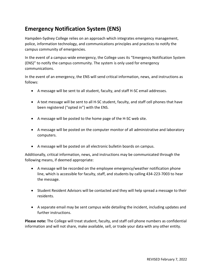# **Emergency Notification System (ENS)**

Hampden‐Sydney College relies on an approach which integrates emergency management, police, information technology, and communications principles and practices to notify the campus community of emergencies.

In the event of a campus‐wide emergency, the College uses its "Emergency Notification System (ENS)" to notify the campus community. The system is only used for emergency communications.

In the event of an emergency, the ENS will send critical information, news, and instructions as follows:

- A message will be sent to all student, faculty, and staff H‐SC email addresses.
- A text message will be sent to all H-SC student, faculty, and staff cell phones that have been registered ("opted in") with the ENS.
- A message will be posted to the home page of the H-SC web site.
- A message will be posted on the computer monitor of all administrative and laboratory computers.
- A message will be posted on all electronic bulletin boards on campus.

Additionally, critical information, news, and instructions may be communicated through the following means, if deemed appropriate:

- A message will be recorded on the employee emergency/weather notification phone line, which is accessible for faculty, staff, and students by calling 434‐223‐7003 to hear the message.
- Student Resident Advisors will be contacted and they will help spread a message to their residents.
- A separate email may be sent campus wide detailing the incident, including updates and further instructions.

**Please note:** The College will treat student, faculty, and staff cell phone numbers as confidential information and will not share, make available, sell, or trade your data with any other entity.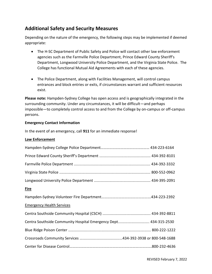### **Additional Safety and Security Measures**

Depending on the nature of the emergency, the following steps may be implemented if deemed appropriate:

- The H-SC Department of Public Safety and Police will contact other law enforcement agencies such as the Farmville Police Department, Prince Edward County Sheriff's Department, Longwood University Police Department, and the Virginia State Police. The College has functional Mutual Aid Agreements with each of these agencies.
- The Police Department, along with Facilities Management, will control campus entrances and block entries or exits, if circumstances warrant and sufficient resources exist.

**Please note:** Hampden‐Sydney College has open access and is geographically integrated in the surrounding community. Under any circumstances, it will be difficult—and perhaps impossible—to completely control access to and from the College by on‐campus or off‐campus persons.

#### **Emergency Contact Information**

In the event of an emergency, call **911** for an immediate response!

#### **Law Enforcement**

| <b>Fire</b>                                                     |
|-----------------------------------------------------------------|
|                                                                 |
| <b>Emergency Health Services</b>                                |
|                                                                 |
| Centra Southside Community Hospital Emergency Dept 434-315-2530 |
|                                                                 |
|                                                                 |
|                                                                 |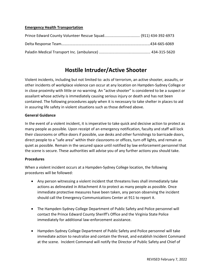#### **Emergency Health Transportation**

### **Hostile Intruder/Active Shooter**

Violent incidents, including but not limited to: acts of terrorism, an active shooter, assaults, or other incidents of workplace violence can occur at any location on Hampden-Sydney College or in close proximity with little or no warning. An "active shooter" is considered to be a suspect or assailant whose activity is immediately causing serious injury or death and has not been contained. The following procedures apply when it is necessary to take shelter in places to aid in assuring life safety in violent situations such as those defined above.

#### **General Guidance**

In the event of a violent incident, it is imperative to take quick and decisive action to protect as many people as possible. Upon receipt of an emergency notification, faculty and staff will lock their classrooms or office doors if possible, use desks and other furnishings to barricade doors, direct people to a "safe area" within their classrooms or offices, turn off lights, and remain as quiet as possible. Remain in the secured space until notified by law enforcement personnel that the scene is secure. These authorities will advise you of any further actions you should take.

#### **Procedures**

When a violent incident occurs at a Hampden-Sydney College location, the following procedures will be followed:

- Any person witnessing a violent incident that threatens lives shall immediately take actions as delineated in Attachment A to protect as many people as possible. Once immediate protective measures have been taken, any person observing the incident should call the Emergency Communications Center at 911 to report it.
- The Hampden-Sydney College Department of Public Safety and Police personnel will contact the Prince Edward County Sheriff's Office and the Virginia State Police immediately for additional law-enforcement assistance.
- Hampden-Sydney College Department of Public Safety and Police personnel will take immediate action to neutralize and contain the threat, and establish Incident Command at the scene. Incident Command will notify the Director of Public Safety and Chief of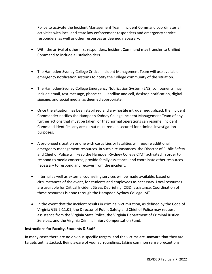Police to activate the Incident Management Team. Incident Command coordinates all activities with local and state law enforcement responders and emergency service responders, as well as other resources as deemed necessary.

- With the arrival of other first responders, Incident Command may transfer to Unified Command to include all stakeholders.
- The Hampden-Sydney College Critical Incident Management Team will use available emergency notification systems to notify the College community of the situation.
- The Hampden-Sydney College Emergency Notification System (ENS) components may include email, text message, phone call - landline and cell, desktop notification, digital signage, and social media, as deemed appropriate.
- Once the situation has been stabilized and any hostile intruder neutralized, the Incident Commander notifies the Hampden-Sydney College Incident Management Team of any further actions that must be taken, or that normal operations can resume. Incident Command identifies any areas that must remain secured for criminal investigation purposes.
- A prolonged situation or one with casualties or fatalities will require additional emergency management resources. In such circumstances, the Director of Public Safety and Chief of Police will keep the Hampden-Sydney College CIMT activated in order to respond to media concerns, provide family assistance, and coordinate other resources necessary to respond and recover from the incident.
- Internal as well as external counseling services will be made available, based on circumstances of the event, for students and employees as necessary. Local resources are available for Critical Incident Stress Debriefing (CISD) assistance. Coordination of these resources is done through the Hampden-Sydney College IMT.
- In the event that the incident results in criminal victimization, as defined by the Code of Virginia §19.2-11.01, the Director of Public Safety and Chief of Police may request assistance from the Virginia State Police, the Virginia Department of Criminal Justice Services, and the Virginia Criminal Injury Compensation Fund.

#### **Instructions for Faculty, Students & Staff**

In many cases there are no obvious specific targets, and the victims are unaware that they are targets until attacked. Being aware of your surroundings, taking common sense precautions,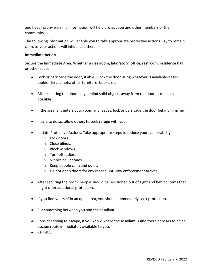and heeding any warning information will help protect you and other members of the community.

The following information will enable you to take appropriate protective actions. Try to remain calm, as your actions will influence others.

#### **Immediate Action**

Secure the Immediate Area. Whether a classroom, laboratory, office, restroom, residence hall or other space:

- Lock or barricade the door, if able. Block the door using whatever is available-desks, tables, file cabinets, other furniture, books, etc.
- After securing the door, stay behind solid objects away from the door as much as possible.
- If the assailant enters your room and leaves, lock or barricade the door behind him/her.
- If safe to do so, allow others to seek refuge with you.
- Initiate Protective Actions. Take appropriate steps to reduce your vulnerability:
	- o Lock doors
	- o Close blinds.
	- o Block windows.
	- o Turn off radios.
	- o Silence cell phones.
	- o Keep people calm and quiet.
	- o Do not open doors for any reason until law enforcement arrives.
- After securing the room, people should be positioned out of sight and behind items that might offer additional protection.
- If you find yourself in an open area, you should immediately seek protection.
- Put something between you and the assailant.
- Consider trying to escape, if you know where the assailant is and there appears to be an escape route immediately available to you.
- **Call 911.**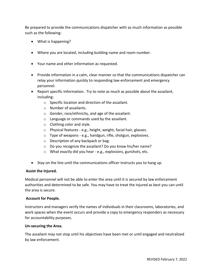Be prepared to provide the communications dispatcher with as much information as possible such as the following:

- What is happening?
- Where you are located, including building name and room number.
- Your name and other information as requested.
- Provide information in a calm, clear manner so that the communications dispatcher can relay your information quickly to responding law-enforcement and emergency personnel.
- Report specific Information. Try to note as much as possible about the assailant, including:
	- o Specific location and direction of the assailant.
	- o Number of assailants.
	- o Gender, race/ethnicity, and age of the assailant.
	- o Language or commands used by the assailant.
	- o Clothing color and style.
	- o Physical features e.g., height, weight, facial hair, glasses.
	- o Type of weapons e.g., handgun, rifle, shotgun, explosives.
	- o Description of any backpack or bag.
	- o Do you recognize the assailant? Do you know his/her name?
	- o What exactly did you hear e.g., explosions, gunshots, etc.
- Stay on the line until the communications officer instructs you to hang up.

#### **Assist the Injured.**

Medical personnel will not be able to enter the area until it is secured by law enforcement authorities and determined to be safe. You may have to treat the injured as best you can until the area is secure.

#### **Account for People.**

Instructors and managers verify the names of individuals in their classrooms, laboratories, and work spaces when the event occurs and provide a copy to emergency responders as necessary for accountability purposes.

#### **Un-securing the Area.**

The assailant may not stop until his objectives have been met or until engaged and neutralized by law enforcement.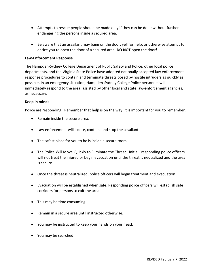- Attempts to rescue people should be made only if they can be done without further endangering the persons inside a secured area.
- Be aware that an assailant may bang on the door, yell for help, or otherwise attempt to entice you to open the door of a secured area. **DO NOT** open the door!

#### **Law-Enforcement Response**

The Hampden-Sydney College Department of Public Safety and Police, other local police departments, and the Virginia State Police have adopted nationally accepted law enforcement response procedures to contain and terminate threats posed by hostile intruders as quickly as possible. In an emergency situation, Hampden-Sydney College Police personnel will immediately respond to the area, assisted by other local and state law-enforcement agencies, as necessary.

#### **Keep in mind:**

Police are responding. Remember that help is on the way. It is important for you to remember:

- Remain inside the secure area.
- Law enforcement will locate, contain, and stop the assailant.
- The safest place for you to be is inside a secure room.
- The Police Will Move Quickly to Eliminate the Threat. Initial responding police officers will not treat the injured or begin evacuation until the threat is neutralized and the area is secure.
- Once the threat is neutralized, police officers will begin treatment and evacuation.
- Evacuation will be established when safe. Responding police officers will establish safe corridors for persons to exit the area.
- This may be time consuming.
- Remain in a secure area until instructed otherwise.
- You may be instructed to keep your hands on your head.
- You may be searched.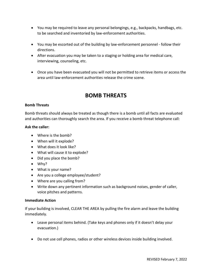- You may be required to leave any personal belongings, e.g., backpacks, handbags, etc. to be searched and inventoried by law-enforcement authorities.
- You may be escorted out of the building by law-enforcement personnel follow their directions.
- After evacuation you may be taken to a staging or holding area for medical care, interviewing, counseling, etc.
- Once you have been evacuated you will not be permitted to retrieve items or access the area until law-enforcement authorities release the crime scene.

## **BOMB THREATS**

#### **Bomb Threats**

Bomb threats should always be treated as though there is a bomb until all facts are evaluated and authorities can thoroughly search the area. If you receive a bomb threat telephone call:

#### **Ask the caller:**

- Where is the bomb?
- When will it explode?
- What does it look like?
- What will cause it to explode?
- Did you place the bomb?
- Why?
- What is your name?
- Are you a college employee/student?
- Where are you calling from?
- Write down any pertinent information such as background noises, gender of caller, voice pitches and patterns.

#### **Immediate Action**

If your building is involved, CLEAR THE AREA by pulling the fire alarm and leave the building immediately.

- Leave personal items behind. (Take keys and phones only if it doesn't delay your evacuation.)
- Do not use cell phones, radios or other wireless devices inside building involved.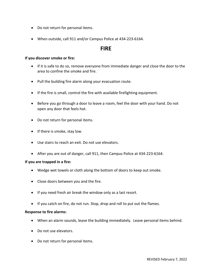- Do not return for personal items.
- When outside, call 911 and/or Campus Police at 434-223-6164.

### **FIRE**

#### **If you discover smoke or fire:**

- If it is safe to do so, remove everyone from immediate danger and close the door to the area to confine the smoke and fire.
- Pull the building fire alarm along your evacuation route.
- If the fire is small, control the fire with available firefighting equipment.
- Before you go through a door to leave a room, feel the door with your hand. Do not open any door that feels hot.
- Do not return for personal items.
- If there is smoke, stay low.
- Use stairs to reach an exit. Do not use elevators.
- After you are out of danger, call 911, then Campus Police at 434-223-6164.

#### **If you are trapped in a fire:**

- Wedge wet towels or cloth along the bottom of doors to keep out smoke.
- Close doors between you and the fire.
- If you need fresh air break the window only as a last resort.
- If you catch on fire, do not run. Stop, drop and roll to put out the flames.

#### **Response to fire alarms:**

- When an alarm sounds, leave the building immediately. Leave personal items behind.
- Do not use elevators.
- Do not return for personal items.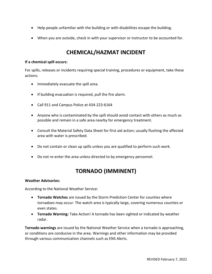- Help people unfamiliar with the building or with disabilities escape the building.
- When you are outside, check in with your supervisor or instructor to be accounted for.

## **CHEMICAL/HAZMAT INCIDENT**

#### **If a chemical spill occurs:**

For spills, releases or incidents requiring special training, procedures or equipment, take these actions:

- Immediately evacuate the spill area.
- If building evacuation is required, pull the fire alarm.
- Call 911 and Campus Police at 434-223-6164
- Anyone who is contaminated by the spill should avoid contact with others as much as possible and remain in a safe area nearby for emergency treatment.
- Consult the Material Safety Data Sheet for first aid action; usually flushing the affected area with water is prescribed.
- Do not contain or clean up spills unless you are qualified to perform such work.
- Do not re-enter the area unless directed to by emergency personnel.

## **TORNADO (IMMINENT)**

#### **Weather Advisories:**

According to the National Weather Service:

- **Tornado Watches** are issued by the Storm Prediction Center for counties where tornadoes may occur. The watch area is typically large, covering numerous counties or even states.
- **Tornado Warning:** Take Action! A tornado has been sighted or indicated by weather radar.

**Tornado warnings** are issued by the National Weather Service when a tornado is approaching, or conditions are conducive in the area. Warnings and other information may be provided through various communication channels such as ENS Alerts.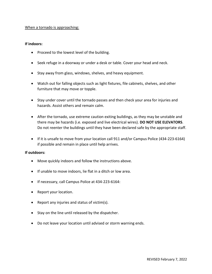#### When a tornado is approaching:

#### **If indoors:**

- Proceed to the lowest level of the building.
- Seek refuge in a doorway or under a desk or table. Cover your head and neck.
- Stay away from glass, windows, shelves, and heavy equipment.
- Watch out for falling objects such as light fixtures, file cabinets, shelves, and other furniture that may move or topple.
- Stay under cover until the tornado passes and then check your area for injuries and hazards. Assist others and remain calm.
- After the tornado, use extreme caution exiting buildings, as they may be unstable and there may be hazards (i.e. exposed and live electrical wires). **DO NOT USE ELEVATORS**. Do not reenter the buildings until they have been declared safe by the appropriate staff.
- If it is unsafe to move from your location call 911 and/or Campus Police (434-223-6164) if possible and remain in place until help arrives.

#### **If outdoors:**

- Move quickly indoors and follow the instructions above.
- If unable to move indoors, lie flat in a ditch or low area.
- If necessary, call Campus Police at 434-223-6164:
- Report your location.
- Report any injuries and status of victim(s).
- Stay on the line until released by the dispatcher.
- Do not leave your location until advised or storm warning ends.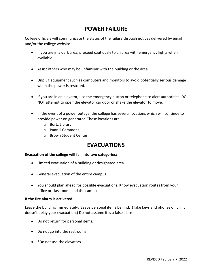### **POWER FAILURE**

College officials will communicate the status of the failure through notices delivered by email and/or the college website.

- If you are in a dark area, proceed cautiously to an area with emergency lights when available.
- Assist others who may be unfamiliar with the building or the area.
- Unplug equipment such as computers and monitors to avoid potentially serious damage when the power is restored.
- If you are in an elevator, use the emergency button or telephone to alert authorities. DO NOT attempt to open the elevator car door or shake the elevator to move.
- In the event of a power outage, the college has several locations which will continue to provide power on generator. These locations are:
	- o Bortz Library
	- o Pannill Commons
	- o Brown Student Center

### **EVACUATIONS**

#### **Evacuation of the college will fall into two categories:**

- Limited evacuation of a building or designated area.
- General evacuation of the entire campus.
- You should plan ahead for possible evacuations. Know evacuation routes from your office or classroom, and the campus.

#### **If the fire alarm is activated:**

Leave the building immediately. Leave personal items behind. (Take keys and phones only if it doesn't delay your evacuation.) Do not assume it is a false alarm.

- Do not return for personal items.
- Do not go into the restrooms.
- \*Do not use the elevators.